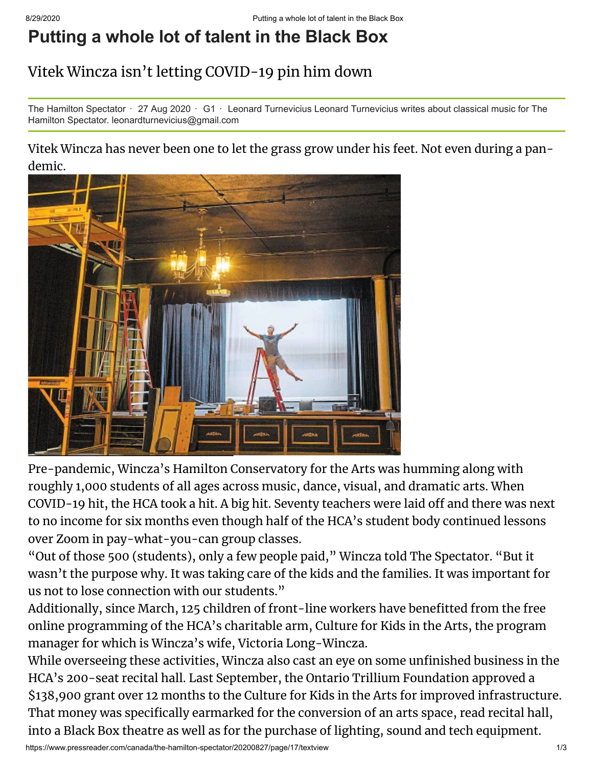## **Putting a whole lot of talent in the Black Box**

## Vitek Wincza isn't letting COVID-19 pin him down

The Hamilton Spectator  $\cdot$  27 Aug 2020  $\cdot$  G1  $\cdot$  Leonard Turnevicius Leonard Turnevicius writes about classical music for The Hamilton Spectator. leonardturnevicius@gmail.com

## Vitek Wincza has never been one to let the grass grow under his feet. Not even during a pandemic.



Pre-pandemic, Wincza's Hamilton Conservatory for the Arts was humming along with roughly 1,000 students of all ages across music, dance, visual, and dramatic arts. When COVID-19 hit, the HCA took a hit. A big hit. Seventy teachers were laid off and there was next to no income for six months even though half of the HCA's student body continued lessons over Zoom in pay-what-you-can group classes.

"Out of those 500 (students), only a few people paid," Wincza told The Spectator. "But it wasn't the purpose why. It was taking care of the kids and the families. It was important for us not to lose connection with our students."

Additionally, since March, 125 children of front-line workers have benefitted from the free online programming of the HCA's charitable arm, Culture for Kids in the Arts, the program manager for which is Wincza's wife, Victoria Long-Wincza.

While overseeing these activities, Wincza also cast an eye on some unfinished business in the HCA's 200-seat recital hall. Last September, the Ontario Trillium Foundation approved a \$138,900 grant over 12 months to the Culture for Kids in the Arts for improved infrastructure. That money was specifically earmarked for the conversion of an arts space, read recital hall, into a Black Box theatre as well as for the purchase of lighting, sound and tech equipment.